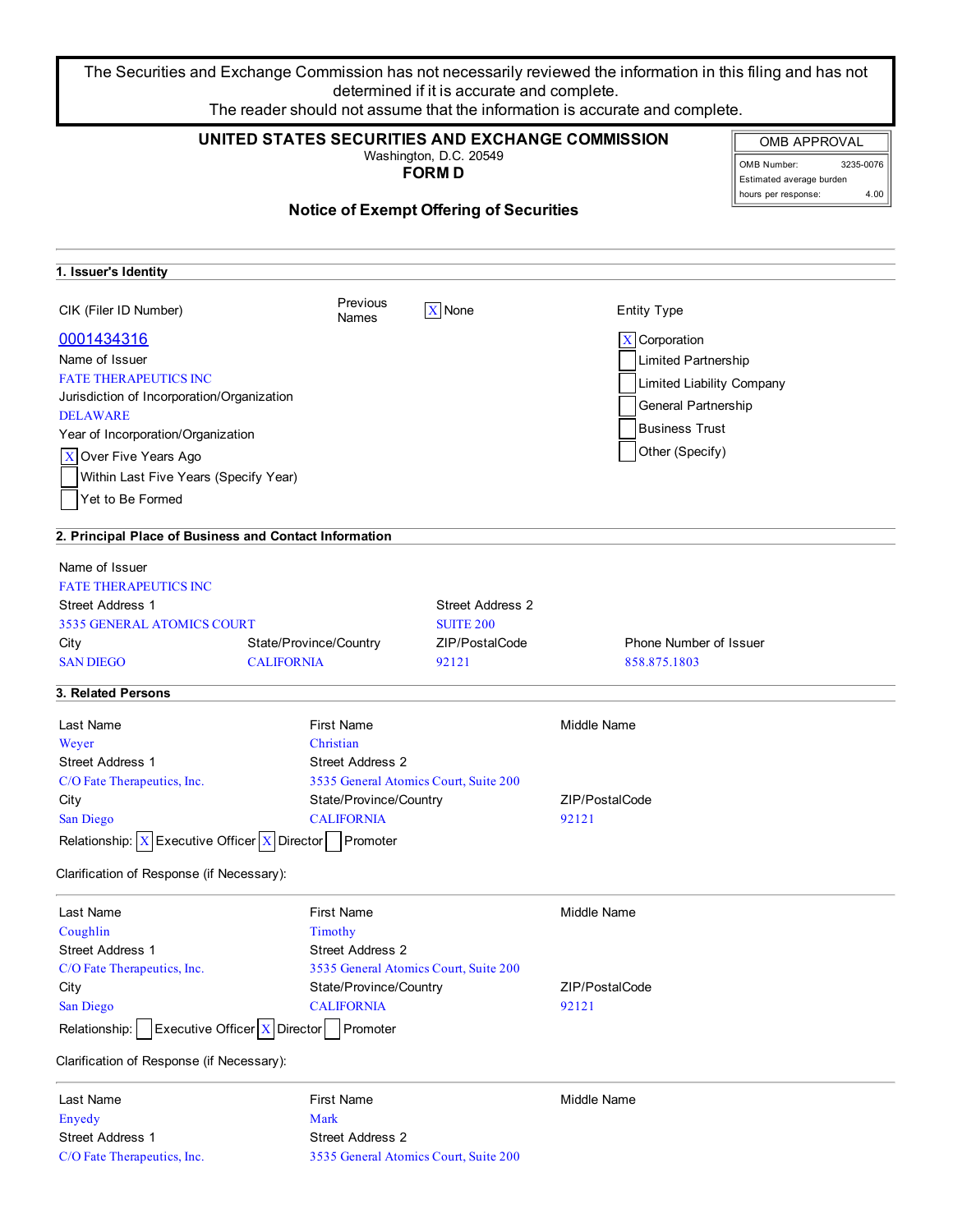The Securities and Exchange Commission has not necessarily reviewed the information in this filing and has not determined if it is accurate and complete. The reader should not assume that the information is accurate and complete.

| UNITED STATES SECURITIES AND EXCHANGE COMMISSION<br>Washington, D.C. 20549<br><b>FORMD</b> |                         |                                                |                               | <b>OMB APPROVAL</b><br>3235-0076<br>OMB Number:<br>Estimated average burden<br>4.00<br>hours per response: |
|--------------------------------------------------------------------------------------------|-------------------------|------------------------------------------------|-------------------------------|------------------------------------------------------------------------------------------------------------|
|                                                                                            |                         | <b>Notice of Exempt Offering of Securities</b> |                               |                                                                                                            |
| 1. Issuer's Identity                                                                       |                         |                                                |                               |                                                                                                            |
| CIK (Filer ID Number)                                                                      | Previous<br>Names       | $X$ None                                       | <b>Entity Type</b>            |                                                                                                            |
| 0001434316                                                                                 |                         |                                                | $X$ Corporation               |                                                                                                            |
| Name of Issuer                                                                             |                         |                                                | <b>Limited Partnership</b>    |                                                                                                            |
| <b>FATE THERAPEUTICS INC</b>                                                               |                         |                                                | Limited Liability Company     |                                                                                                            |
| Jurisdiction of Incorporation/Organization                                                 |                         |                                                |                               |                                                                                                            |
| <b>DELAWARE</b>                                                                            |                         |                                                | General Partnership           |                                                                                                            |
| Year of Incorporation/Organization                                                         |                         |                                                | <b>Business Trust</b>         |                                                                                                            |
| Over Five Years Ago<br>$\mathbf X$                                                         |                         |                                                | Other (Specify)               |                                                                                                            |
| Within Last Five Years (Specify Year)                                                      |                         |                                                |                               |                                                                                                            |
| Yet to Be Formed                                                                           |                         |                                                |                               |                                                                                                            |
|                                                                                            |                         |                                                |                               |                                                                                                            |
| 2. Principal Place of Business and Contact Information                                     |                         |                                                |                               |                                                                                                            |
| Name of Issuer                                                                             |                         |                                                |                               |                                                                                                            |
| <b>FATE THERAPEUTICS INC</b>                                                               |                         |                                                |                               |                                                                                                            |
| <b>Street Address 1</b>                                                                    |                         | <b>Street Address 2</b>                        |                               |                                                                                                            |
| 3535 GENERAL ATOMICS COURT                                                                 |                         | <b>SUITE 200</b>                               |                               |                                                                                                            |
| City                                                                                       | State/Province/Country  | ZIP/PostalCode                                 | <b>Phone Number of Issuer</b> |                                                                                                            |
| <b>SAN DIEGO</b>                                                                           | <b>CALIFORNIA</b>       | 92121                                          | 858.875.1803                  |                                                                                                            |
| 3. Related Persons                                                                         |                         |                                                |                               |                                                                                                            |
| Last Name                                                                                  | <b>First Name</b>       |                                                | Middle Name                   |                                                                                                            |
| Weyer                                                                                      | Christian               |                                                |                               |                                                                                                            |
| <b>Street Address 1</b>                                                                    | <b>Street Address 2</b> |                                                |                               |                                                                                                            |
| C/O Fate Therapeutics, Inc.                                                                |                         | 3535 General Atomics Court, Suite 200          |                               |                                                                                                            |
| City                                                                                       | State/Province/Country  |                                                | ZIP/PostalCode                |                                                                                                            |
| San Diego                                                                                  | <b>CALIFORNIA</b>       |                                                | 92121                         |                                                                                                            |
| Relationship: $X$ Executive Officer X Director Promoter                                    |                         |                                                |                               |                                                                                                            |
| Clarification of Response (if Necessary):                                                  |                         |                                                |                               |                                                                                                            |
| Last Name                                                                                  | <b>First Name</b>       |                                                | Middle Name                   |                                                                                                            |
| Coughlin                                                                                   | Timothy                 |                                                |                               |                                                                                                            |
| <b>Street Address 1</b>                                                                    | <b>Street Address 2</b> |                                                |                               |                                                                                                            |
| C/O Fate Therapeutics, Inc.                                                                |                         | 3535 General Atomics Court, Suite 200          |                               |                                                                                                            |
| City                                                                                       | State/Province/Country  |                                                | ZIP/PostalCode                |                                                                                                            |
| San Diego                                                                                  | <b>CALIFORNIA</b>       |                                                | 92121                         |                                                                                                            |
| <b>Executive Officer <math>X</math> Director</b><br>Relationship:                          | Promoter                |                                                |                               |                                                                                                            |
| Clarification of Response (if Necessary):                                                  |                         |                                                |                               |                                                                                                            |
| Last Name                                                                                  | <b>First Name</b>       |                                                | Middle Name                   |                                                                                                            |
| Enyedy                                                                                     | Mark                    |                                                |                               |                                                                                                            |
| Street Address 1                                                                           | <b>Street Address 2</b> |                                                |                               |                                                                                                            |
| C/O Fate Therapeutics, Inc.                                                                |                         | 3535 General Atomics Court, Suite 200          |                               |                                                                                                            |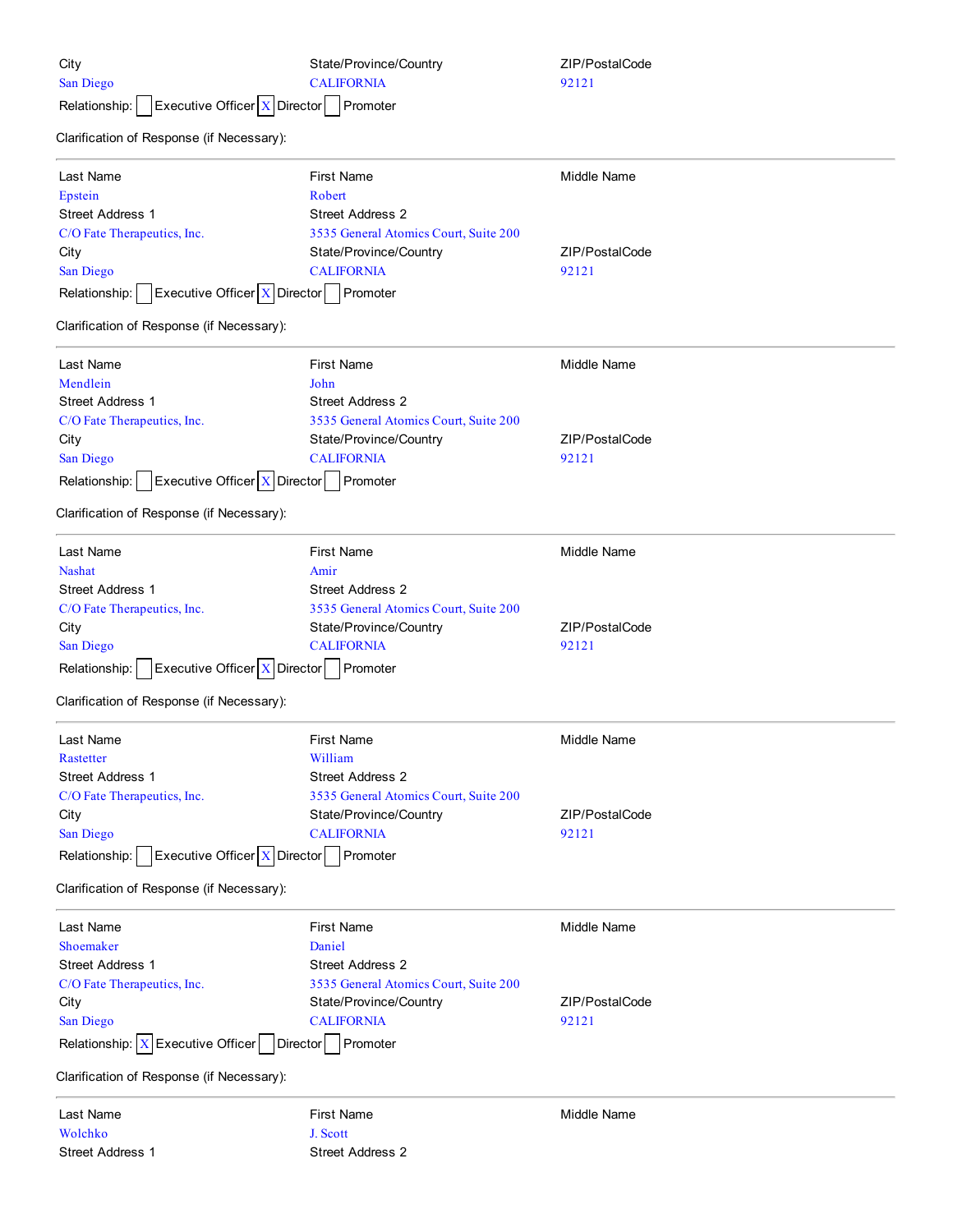| City<br>San Diego<br>Executive Officer X Director<br>Relationship: | State/Province/Country<br><b>CALIFORNIA</b><br>Promoter | ZIP/PostalCode<br>92121 |  |
|--------------------------------------------------------------------|---------------------------------------------------------|-------------------------|--|
| Clarification of Response (if Necessary):                          |                                                         |                         |  |
| Last Name                                                          | <b>First Name</b>                                       | Middle Name             |  |
| Epstein                                                            | Robert                                                  |                         |  |
| <b>Street Address 1</b>                                            | <b>Street Address 2</b>                                 |                         |  |
| C/O Fate Therapeutics, Inc.                                        | 3535 General Atomics Court, Suite 200                   |                         |  |
| City                                                               | State/Province/Country                                  | ZIP/PostalCode          |  |
| San Diego                                                          | <b>CALIFORNIA</b>                                       | 92121                   |  |
| Executive Officer   X   Director<br>Relationship:                  | Promoter                                                |                         |  |
| Clarification of Response (if Necessary):                          |                                                         |                         |  |
| Last Name                                                          | <b>First Name</b>                                       | Middle Name             |  |
| Mendlein                                                           | John                                                    |                         |  |
| Street Address 1                                                   | <b>Street Address 2</b>                                 |                         |  |
| C/O Fate Therapeutics, Inc.                                        | 3535 General Atomics Court, Suite 200                   |                         |  |
| City                                                               | State/Province/Country                                  | ZIP/PostalCode          |  |
| San Diego                                                          | <b>CALIFORNIA</b>                                       | 92121                   |  |
| Executive Officer $X$ Director<br>Relationship:                    | Promoter                                                |                         |  |
| Clarification of Response (if Necessary):                          |                                                         |                         |  |
| Last Name                                                          | <b>First Name</b>                                       | <b>Middle Name</b>      |  |
| <b>Nashat</b>                                                      | Amir                                                    |                         |  |
| Street Address 1                                                   | Street Address 2                                        |                         |  |
| C/O Fate Therapeutics, Inc.                                        | 3535 General Atomics Court, Suite 200                   |                         |  |
| City                                                               | State/Province/Country                                  | ZIP/PostalCode          |  |
| San Diego                                                          | <b>CALIFORNIA</b>                                       | 92121                   |  |
|                                                                    |                                                         |                         |  |
| Executive Officer $X$ Director<br>Relationship:                    | Promoter                                                |                         |  |
| Clarification of Response (if Necessary):                          |                                                         |                         |  |
| Last Name                                                          | First Name                                              | Middle Name             |  |
| Rastetter                                                          | William                                                 |                         |  |
| <b>Street Address 1</b>                                            | <b>Street Address 2</b>                                 |                         |  |
| C/O Fate Therapeutics, Inc.                                        | 3535 General Atomics Court, Suite 200                   |                         |  |
| City                                                               | State/Province/Country                                  | ZIP/PostalCode          |  |
| San Diego<br><b>CALIFORNIA</b>                                     |                                                         | 92121                   |  |
| Executive Officer   X   Director<br>Relationship:                  | Promoter                                                |                         |  |
| Clarification of Response (if Necessary):                          |                                                         |                         |  |
| Last Name                                                          | <b>First Name</b>                                       | Middle Name             |  |
| Shoemaker                                                          | Daniel                                                  |                         |  |
| <b>Street Address 1</b>                                            | <b>Street Address 2</b>                                 |                         |  |
| C/O Fate Therapeutics, Inc.                                        | 3535 General Atomics Court, Suite 200                   |                         |  |
| City                                                               | State/Province/Country                                  | ZIP/PostalCode          |  |
| San Diego                                                          | <b>CALIFORNIA</b>                                       | 92121                   |  |
| Relationship: $X$ Executive Officer                                | Promoter<br><b>Director</b>                             |                         |  |
| Clarification of Response (if Necessary):                          |                                                         |                         |  |
| Last Name                                                          | <b>First Name</b>                                       | Middle Name             |  |
| Wolchko                                                            | J. Scott                                                |                         |  |
| Street Address 1                                                   | Street Address 2                                        |                         |  |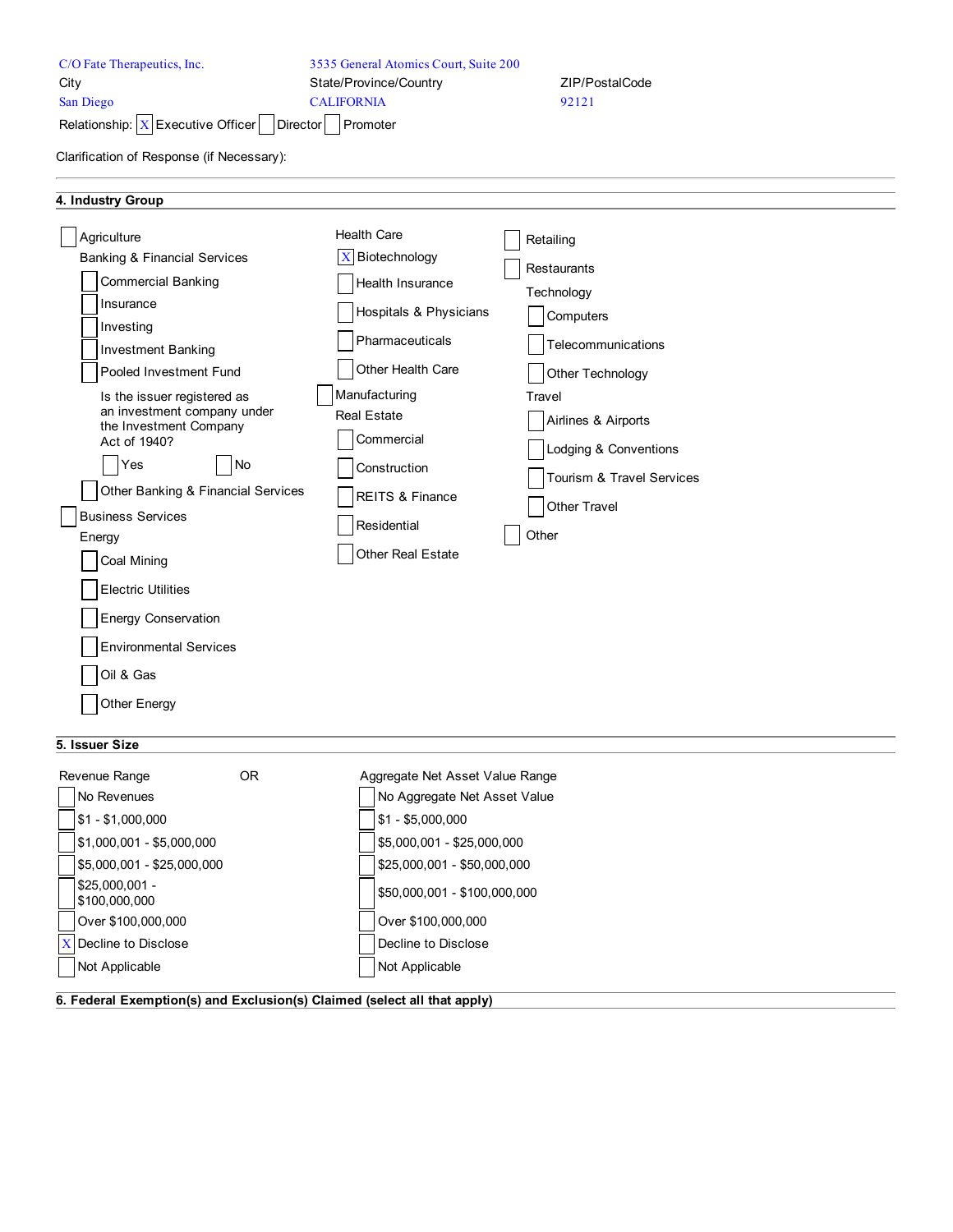| City<br>State/Province/Country<br>ZIP/PostalCode<br><b>CALIFORNIA</b><br>San Diego<br>92121<br>Relationship: $X$ Executive Officer<br>Promoter<br>Director<br>Clarification of Response (if Necessary):                                                                                                                                                                                                                                                                                                                                                                                                                                                                                                                                                                                                                                                                                                                                                                                                |  |
|--------------------------------------------------------------------------------------------------------------------------------------------------------------------------------------------------------------------------------------------------------------------------------------------------------------------------------------------------------------------------------------------------------------------------------------------------------------------------------------------------------------------------------------------------------------------------------------------------------------------------------------------------------------------------------------------------------------------------------------------------------------------------------------------------------------------------------------------------------------------------------------------------------------------------------------------------------------------------------------------------------|--|
| 4. Industry Group                                                                                                                                                                                                                                                                                                                                                                                                                                                                                                                                                                                                                                                                                                                                                                                                                                                                                                                                                                                      |  |
| <b>Health Care</b><br>Agriculture<br>Retailing<br>$\mathbf X$<br>Biotechnology<br><b>Banking &amp; Financial Services</b><br>Restaurants<br><b>Commercial Banking</b><br>Health Insurance<br>Technology<br>Insurance<br>Hospitals & Physicians<br>Computers<br>Investing<br>Pharmaceuticals<br>Telecommunications<br><b>Investment Banking</b><br>Other Health Care<br>Pooled Investment Fund<br>Other Technology<br>Manufacturing<br>Is the issuer registered as<br>Travel<br>an investment company under<br><b>Real Estate</b><br>Airlines & Airports<br>the Investment Company<br>Commercial<br>Act of 1940?<br>Lodging & Conventions<br><b>No</b><br>Yes<br>Construction<br>Tourism & Travel Services<br>Other Banking & Financial Services<br>REITS & Finance<br>Other Travel<br><b>Business Services</b><br>Residential<br>Other<br>Energy<br>Other Real Estate<br>Coal Mining<br><b>Electric Utilities</b><br>Energy Conservation<br><b>Environmental Services</b><br>Oil & Gas<br>Other Energy |  |

# **5. Issuer Size**

| Revenue Range                    | 0R | Aggregate Net Asset Value Range |
|----------------------------------|----|---------------------------------|
| No Revenues                      |    | No Aggregate Net Asset Value    |
| $$1 - $1,000,000$                |    | $$1 - $5,000,000$               |
| $$1,000,001 - $5,000,000$        |    | \$5,000,001 - \$25,000,000      |
| $$5,000,001 - $25,000,000$       |    | \$25,000,001 - \$50,000,000     |
| $$25.000.001 -$<br>\$100,000,000 |    | \$50,000,001 - \$100,000,000    |
| Over \$100,000,000               |    | Over \$100,000,000              |
| X Decline to Disclose            |    | Decline to Disclose             |
| Not Applicable                   |    | Not Applicable                  |
| .                                | .  | .                               |

**6. Federal Exemption(s) and Exclusion(s) Claimed (select all that apply)**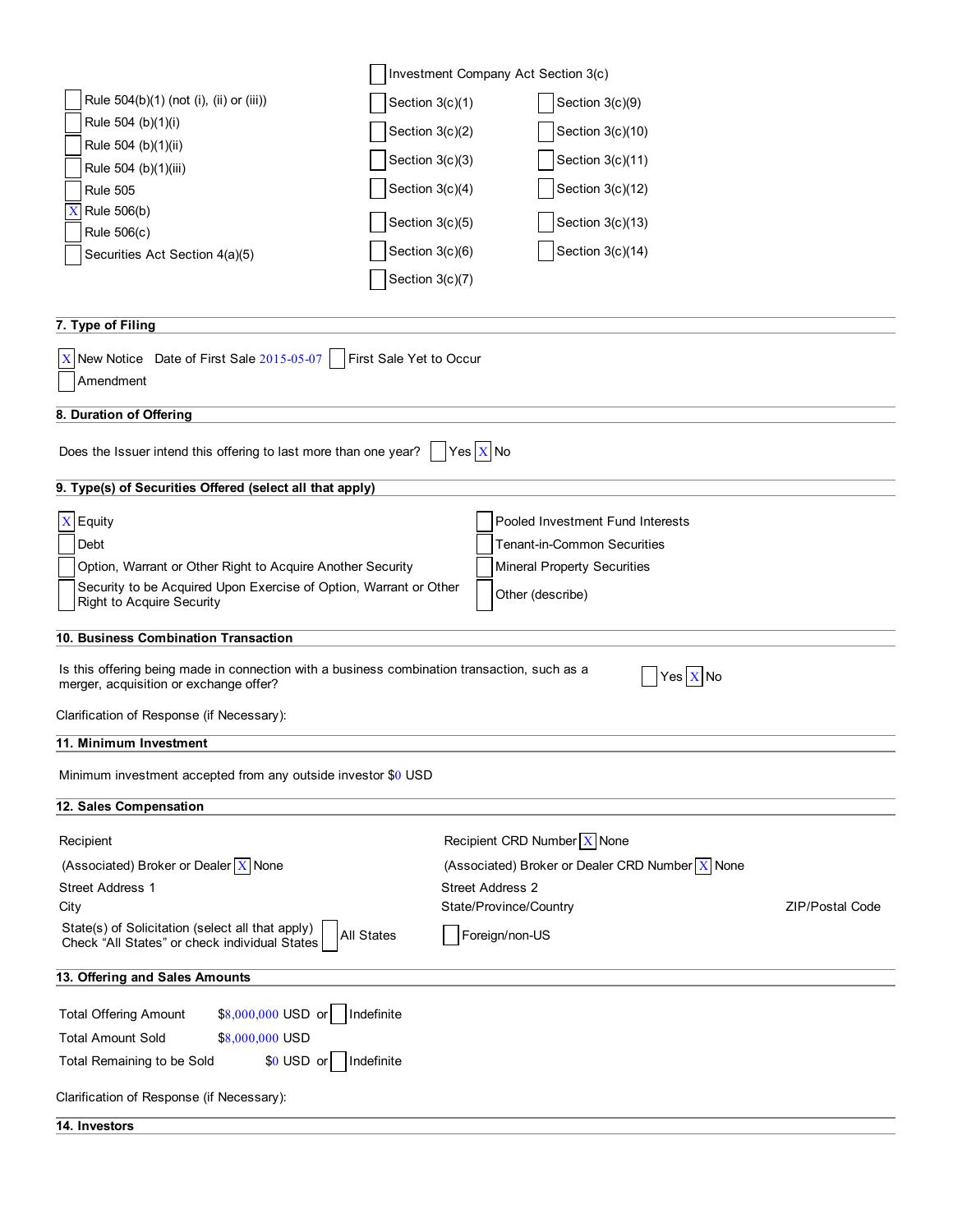|                                                                                                                                        | Investment Company Act Section 3(c)             |                 |  |  |
|----------------------------------------------------------------------------------------------------------------------------------------|-------------------------------------------------|-----------------|--|--|
| Rule 504(b)(1) (not (i), (ii) or (iii))                                                                                                | Section $3(c)(1)$<br>Section 3(c)(9)            |                 |  |  |
| Rule 504 (b)(1)(i)                                                                                                                     | Section 3(c)(2)<br>Section 3(c)(10)             |                 |  |  |
| Rule 504 (b)(1)(ii)                                                                                                                    |                                                 |                 |  |  |
| Rule 504 (b)(1)(iii)                                                                                                                   | Section 3(c)(3)<br>Section 3(c)(11)             |                 |  |  |
| <b>Rule 505</b>                                                                                                                        | Section 3(c)(4)<br>Section 3(c)(12)             |                 |  |  |
| Rule 506(b)<br>X                                                                                                                       | Section 3(c)(5)<br>Section 3(c)(13)             |                 |  |  |
| Rule 506(c)                                                                                                                            | Section 3(c)(14)<br>Section $3(c)(6)$           |                 |  |  |
| Securities Act Section 4(a)(5)                                                                                                         |                                                 |                 |  |  |
|                                                                                                                                        | Section $3(c)(7)$                               |                 |  |  |
|                                                                                                                                        |                                                 |                 |  |  |
| 7. Type of Filing                                                                                                                      |                                                 |                 |  |  |
| $X$ New Notice Date of First Sale 2015-05-07   First Sale Yet to Occur                                                                 |                                                 |                 |  |  |
| Amendment                                                                                                                              |                                                 |                 |  |  |
| 8. Duration of Offering                                                                                                                |                                                 |                 |  |  |
|                                                                                                                                        |                                                 |                 |  |  |
| Does the Issuer intend this offering to last more than one year?                                                                       | Yes $X$ No                                      |                 |  |  |
| 9. Type(s) of Securities Offered (select all that apply)                                                                               |                                                 |                 |  |  |
|                                                                                                                                        |                                                 |                 |  |  |
|                                                                                                                                        | $X$ Equity<br>Pooled Investment Fund Interests  |                 |  |  |
| Debt                                                                                                                                   | <b>Tenant-in-Common Securities</b>              |                 |  |  |
| Option, Warrant or Other Right to Acquire Another Security                                                                             | <b>Mineral Property Securities</b>              |                 |  |  |
| Security to be Acquired Upon Exercise of Option, Warrant or Other<br><b>Right to Acquire Security</b>                                  | Other (describe)                                |                 |  |  |
|                                                                                                                                        |                                                 |                 |  |  |
| 10. Business Combination Transaction                                                                                                   |                                                 |                 |  |  |
| Is this offering being made in connection with a business combination transaction, such as a<br>merger, acquisition or exchange offer? | Yes $X$ No                                      |                 |  |  |
| Clarification of Response (if Necessary):                                                                                              |                                                 |                 |  |  |
| 11. Minimum Investment                                                                                                                 |                                                 |                 |  |  |
| Minimum investment accepted from any outside investor \$0 USD                                                                          |                                                 |                 |  |  |
| 12. Sales Compensation                                                                                                                 |                                                 |                 |  |  |
|                                                                                                                                        |                                                 |                 |  |  |
| Recipient                                                                                                                              | Recipient CRD Number $\boxed{X}$ None           |                 |  |  |
| (Associated) Broker or Dealer X None                                                                                                   | (Associated) Broker or Dealer CRD Number X None |                 |  |  |
| <b>Street Address 1</b>                                                                                                                | <b>Street Address 2</b>                         |                 |  |  |
| City                                                                                                                                   | State/Province/Country                          | ZIP/Postal Code |  |  |
| State(s) of Solicitation (select all that apply)<br><b>All States</b><br>Check "All States" or check individual States                 | Foreign/non-US                                  |                 |  |  |
| 13. Offering and Sales Amounts                                                                                                         |                                                 |                 |  |  |
|                                                                                                                                        |                                                 |                 |  |  |
| Indefinite<br><b>Total Offering Amount</b><br>$$8,000,000$ USD or                                                                      |                                                 |                 |  |  |
| <b>Total Amount Sold</b><br>\$8,000,000 USD                                                                                            |                                                 |                 |  |  |
| $$0$ USD or<br>Indefinite<br>Total Remaining to be Sold                                                                                |                                                 |                 |  |  |
| Clarification of Response (if Necessary):                                                                                              |                                                 |                 |  |  |
| 14. Investors                                                                                                                          |                                                 |                 |  |  |
|                                                                                                                                        |                                                 |                 |  |  |